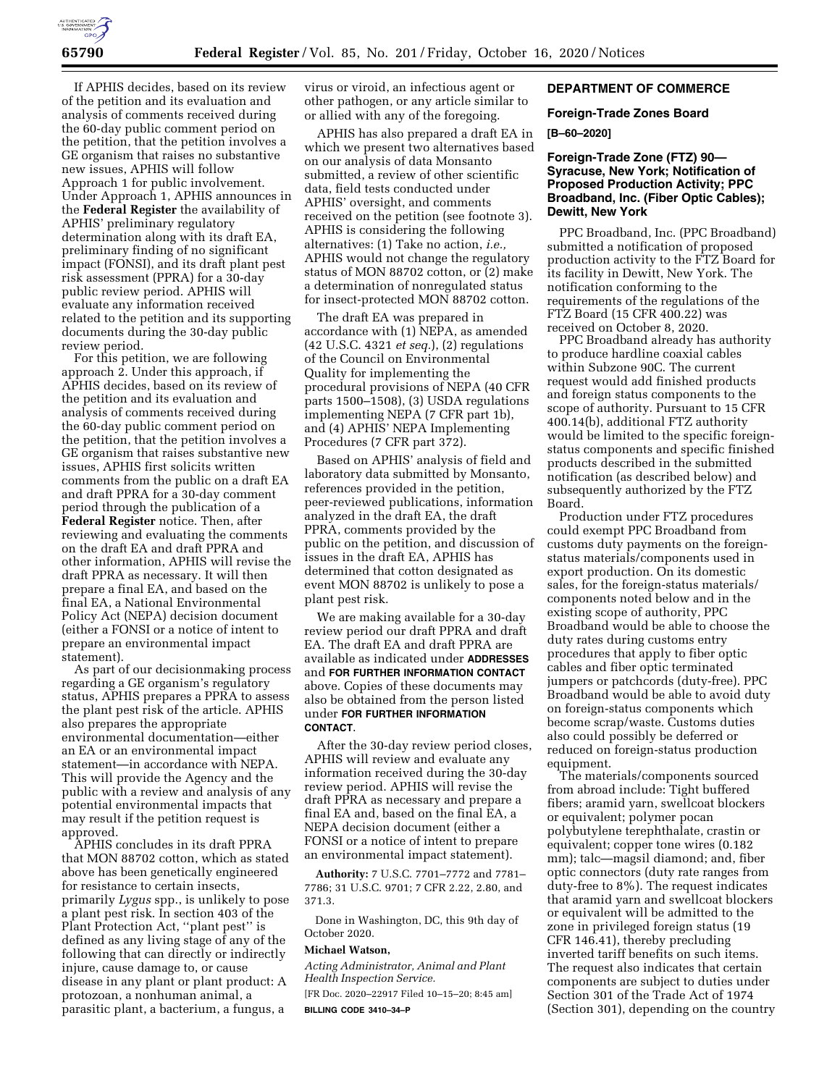

If APHIS decides, based on its review of the petition and its evaluation and analysis of comments received during the 60-day public comment period on the petition, that the petition involves a GE organism that raises no substantive new issues, APHIS will follow Approach 1 for public involvement. Under Approach 1, APHIS announces in the **Federal Register** the availability of APHIS' preliminary regulatory determination along with its draft EA, preliminary finding of no significant impact (FONSI), and its draft plant pest risk assessment (PPRA) for a 30-day public review period. APHIS will evaluate any information received related to the petition and its supporting documents during the 30-day public review period.

For this petition, we are following approach 2. Under this approach, if APHIS decides, based on its review of the petition and its evaluation and analysis of comments received during the 60-day public comment period on the petition, that the petition involves a GE organism that raises substantive new issues, APHIS first solicits written comments from the public on a draft EA and draft PPRA for a 30-day comment period through the publication of a **Federal Register** notice. Then, after reviewing and evaluating the comments on the draft EA and draft PPRA and other information, APHIS will revise the draft PPRA as necessary. It will then prepare a final EA, and based on the final EA, a National Environmental Policy Act (NEPA) decision document (either a FONSI or a notice of intent to prepare an environmental impact statement).

As part of our decisionmaking process regarding a GE organism's regulatory status, APHIS prepares a PPRA to assess the plant pest risk of the article. APHIS also prepares the appropriate environmental documentation—either an EA or an environmental impact statement—in accordance with NEPA. This will provide the Agency and the public with a review and analysis of any potential environmental impacts that may result if the petition request is approved.

APHIS concludes in its draft PPRA that MON 88702 cotton, which as stated above has been genetically engineered for resistance to certain insects, primarily *Lygus* spp., is unlikely to pose a plant pest risk. In section 403 of the Plant Protection Act, ''plant pest'' is defined as any living stage of any of the following that can directly or indirectly injure, cause damage to, or cause disease in any plant or plant product: A protozoan, a nonhuman animal, a parasitic plant, a bacterium, a fungus, a

virus or viroid, an infectious agent or other pathogen, or any article similar to or allied with any of the foregoing.

APHIS has also prepared a draft EA in which we present two alternatives based on our analysis of data Monsanto submitted, a review of other scientific data, field tests conducted under APHIS' oversight, and comments received on the petition (see footnote 3). APHIS is considering the following alternatives: (1) Take no action, *i.e.,*  APHIS would not change the regulatory status of MON 88702 cotton, or (2) make a determination of nonregulated status for insect-protected MON 88702 cotton.

The draft EA was prepared in accordance with (1) NEPA, as amended (42 U.S.C. 4321 *et seq.*), (2) regulations of the Council on Environmental Quality for implementing the procedural provisions of NEPA (40 CFR parts 1500–1508), (3) USDA regulations implementing NEPA (7 CFR part 1b), and (4) APHIS' NEPA Implementing Procedures (7 CFR part 372).

Based on APHIS' analysis of field and laboratory data submitted by Monsanto, references provided in the petition, peer-reviewed publications, information analyzed in the draft EA, the draft PPRA, comments provided by the public on the petition, and discussion of issues in the draft EA, APHIS has determined that cotton designated as event MON 88702 is unlikely to pose a plant pest risk.

We are making available for a 30-day review period our draft PPRA and draft EA. The draft EA and draft PPRA are available as indicated under **ADDRESSES** and **FOR FURTHER INFORMATION CONTACT** above. Copies of these documents may also be obtained from the person listed under **FOR FURTHER INFORMATION CONTACT**.

After the 30-day review period closes, APHIS will review and evaluate any information received during the 30-day review period. APHIS will revise the draft PPRA as necessary and prepare a final EA and, based on the final EA, a NEPA decision document (either a FONSI or a notice of intent to prepare an environmental impact statement).

**Authority:** 7 U.S.C. 7701–7772 and 7781– 7786; 31 U.S.C. 9701; 7 CFR 2.22, 2.80, and 371.3.

Done in Washington, DC, this 9th day of October 2020.

# **Michael Watson,**

*Acting Administrator, Animal and Plant Health Inspection Service.* 

[FR Doc. 2020–22917 Filed 10–15–20; 8:45 am] **BILLING CODE 3410–34–P** 

### **DEPARTMENT OF COMMERCE**

#### **Foreign-Trade Zones Board**

### **[B–60–2020]**

# **Foreign-Trade Zone (FTZ) 90— Syracuse, New York; Notification of Proposed Production Activity; PPC Broadband, Inc. (Fiber Optic Cables); Dewitt, New York**

PPC Broadband, Inc. (PPC Broadband) submitted a notification of proposed production activity to the FTZ Board for its facility in Dewitt, New York. The notification conforming to the requirements of the regulations of the FTZ Board (15 CFR 400.22) was received on October 8, 2020.

PPC Broadband already has authority to produce hardline coaxial cables within Subzone 90C. The current request would add finished products and foreign status components to the scope of authority. Pursuant to 15 CFR 400.14(b), additional FTZ authority would be limited to the specific foreignstatus components and specific finished products described in the submitted notification (as described below) and subsequently authorized by the FTZ Board.

Production under FTZ procedures could exempt PPC Broadband from customs duty payments on the foreignstatus materials/components used in export production. On its domestic sales, for the foreign-status materials/ components noted below and in the existing scope of authority, PPC Broadband would be able to choose the duty rates during customs entry procedures that apply to fiber optic cables and fiber optic terminated jumpers or patchcords (duty-free). PPC Broadband would be able to avoid duty on foreign-status components which become scrap/waste. Customs duties also could possibly be deferred or reduced on foreign-status production equipment.

The materials/components sourced from abroad include: Tight buffered fibers; aramid yarn, swellcoat blockers or equivalent; polymer pocan polybutylene terephthalate, crastin or equivalent; copper tone wires (0.182 mm); talc—magsil diamond; and, fiber optic connectors (duty rate ranges from duty-free to 8%). The request indicates that aramid yarn and swellcoat blockers or equivalent will be admitted to the zone in privileged foreign status (19 CFR 146.41), thereby precluding inverted tariff benefits on such items. The request also indicates that certain components are subject to duties under Section 301 of the Trade Act of 1974 (Section 301), depending on the country